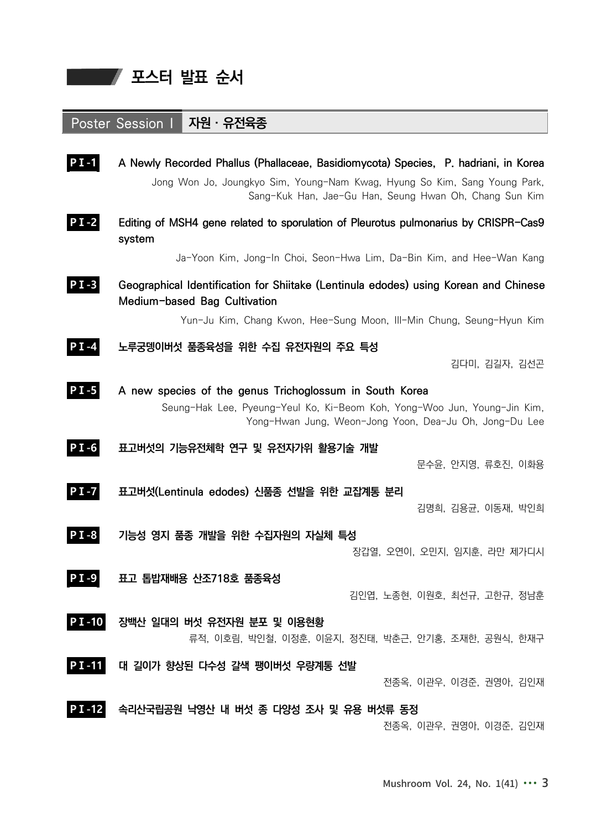프로그램 포스터 발표 순서

## Poster Session I 자원 · 유전육종

| $PI-1$    | A Newly Recorded Phallus (Phallaceae, Basidiomycota) Species, P. hadriani, in Korea<br>Jong Won Jo, Joungkyo Sim, Young-Nam Kwag, Hyung So Kim, Sang Young Park,<br>Sang-Kuk Han, Jae-Gu Han, Seung Hwan Oh, Chang Sun Kim |
|-----------|----------------------------------------------------------------------------------------------------------------------------------------------------------------------------------------------------------------------------|
| $P I - 2$ | Editing of MSH4 gene related to sporulation of Pleurotus pulmonarius by CRISPR-Cas9<br>system                                                                                                                              |
|           | Ja-Yoon Kim, Jong-In Choi, Seon-Hwa Lim, Da-Bin Kim, and Hee-Wan Kang                                                                                                                                                      |
| $PI-3$    | Geographical Identification for Shiitake (Lentinula edodes) using Korean and Chinese<br>Medium-based Bag Cultivation                                                                                                       |
|           | Yun-Ju Kim, Chang Kwon, Hee-Sung Moon, Ill-Min Chung, Seung-Hyun Kim                                                                                                                                                       |
| $P I - 4$ | 노루궁뎅이버섯 품종육성을 위한 수집 유전자원의 주요 특성<br>김다미, 김길자, 김선곤                                                                                                                                                                           |
| $PI$ -5   | A new species of the genus Trichoglossum in South Korea<br>Seung-Hak Lee, Pyeung-Yeul Ko, Ki-Beom Koh, Yong-Woo Jun, Young-Jin Kim,<br>Yong-Hwan Jung, Weon-Jong Yoon, Dea-Ju Oh, Jong-Du Lee                              |
| $PI-6$    | 표고버섯의 기능유전체학 연구 및 유전자가위 활용기술 개발<br>문수윤, 안지영, 류호진, 이화용                                                                                                                                                                      |
| $PI$ -7   | 표고버섯(Lentinula edodes) 신품종 선발을 위한 교잡계통 분리<br>김명희, 김용균, 이동재, 박인희                                                                                                                                                            |
| $P I - 8$ | 기능성 영지 품종 개발을 위한 수집자원의 자실체 특성<br>장갑열, 오연이, 오민지, 임지훈, 라만 제가디시                                                                                                                                                               |
| $P I - 9$ | 표고 톱밥재배용 산조718호 품종육성<br>김인엽, 노종현, 이원호, 최선규, 고한규, 정남훈                                                                                                                                                                       |
| $P$ I-10  | 장백산 일대의 버섯 유전자원 분포 및 이용현황<br>류적, 이호림, 박인철, 이정훈, 이윤지, 정진태, 박춘근, 안기홍, 조재한, 공원식, 한재구                                                                                                                                          |
| $PI-11$   | 대 길이가 향상된 다수성 갈색 팽이버섯 우량계통 선발<br>전종옥, 이관우, 이경준, 권영아, 김인재                                                                                                                                                                   |
| $PI-12$   | 속리산국립공원 낙영산 내 버섯 종 다양성 조사 및 유용 버섯류 동정<br>전종옥, 이관우, 권영아, 이경준, 김인재                                                                                                                                                           |

Mushroom Vol. 24, No. 1(41) ∙∙∙ 3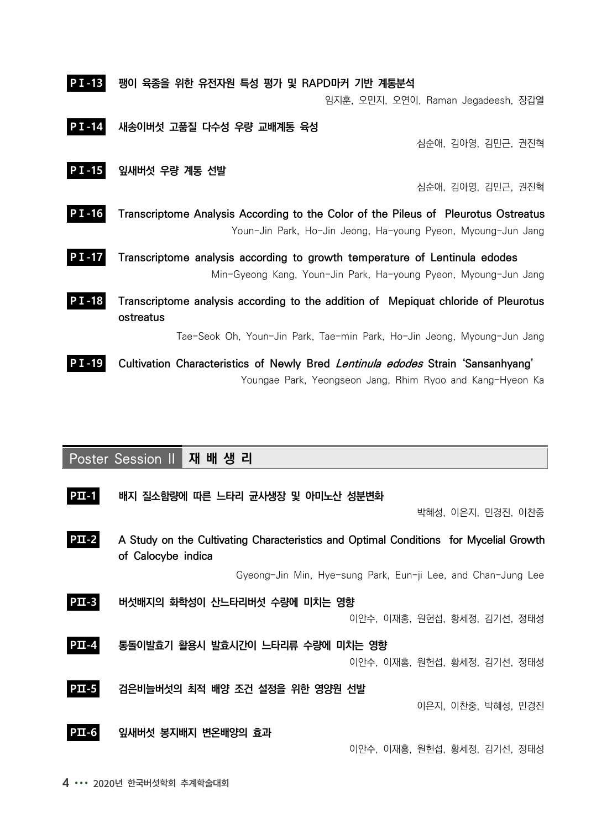| <b>PT-13</b> | 팽이 육종을 위한 유전자원 특성 평가 및 RAPD마커 기반 계통분석                                                                                                               |  |
|--------------|-----------------------------------------------------------------------------------------------------------------------------------------------------|--|
|              | 임지훈, 오민지, 오연이, Raman Jegadeesh, 장갑열                                                                                                                 |  |
| <b>PT-14</b> | 새송이버섯 고품질 다수성 우량 교배계통 육성<br>심순애, 김아영, 김민근, 권진혁                                                                                                      |  |
| $PI-15$      | 잎새버섯 우량 계통 선발                                                                                                                                       |  |
|              | 심순애, 김아영, 김민근, 권진혁                                                                                                                                  |  |
| $PI-16$      | Transcriptome Analysis According to the Color of the Pileus of Pleurotus Ostreatus<br>Youn-Jin Park, Ho-Jin Jeong, Ha-young Pyeon, Myoung-Jun Jang  |  |
| $PI - 17$    | Transcriptome analysis according to growth temperature of Lentinula edodes<br>Min-Gyeong Kang, Youn-Jin Park, Ha-young Pyeon, Myoung-Jun Jang       |  |
| P I -18      | Transcriptome analysis according to the addition of Mepiquat chloride of Pleurotus<br>ostreatus                                                     |  |
|              | Tae-Seok Oh, Youn-Jin Park, Tae-min Park, Ho-Jin Jeong, Myoung-Jun Jang                                                                             |  |
| I - 19       | Cultivation Characteristics of Newly Bred <i>Lentinula edodes</i> Strain 'Sansanhyang'<br>Youngae Park, Yeongseon Jang, Rhim Ryoo and Kang-Hyeon Ka |  |

|          | <b>Poster Session II</b><br>재 배 생 리                                                                         |                              |  |
|----------|-------------------------------------------------------------------------------------------------------------|------------------------------|--|
| $PII-1$  | 배지 질소함량에 따른 느타리 균사생장 및 아미노산 성분변화                                                                            | 박혜성, 이은지, 민경진, 이찬중           |  |
| $PL - 2$ | A Study on the Cultivating Characteristics and Optimal Conditions for Mycelial Growth<br>of Calocybe indica |                              |  |
|          | Gyeong-Jin Min, Hye-sung Park, Eun-ji Lee, and Chan-Jung Lee                                                |                              |  |
| $PII-3$  | 버섯배지의 화학성이 산느타리버섯 수량에 미치는 영향                                                                                | 이안수, 이재홍, 원헌섭, 황세정, 김기선, 정태성 |  |
| $PII-4$  | 통돌이발효기 활용시 발효시간이 느타리류 수량에 미치는 영향                                                                            | 이안수, 이재홍, 원헌섭, 황세정, 김기선, 정태성 |  |
| $PII-5$  | 검은비늘버섯의 최적 배양 조건 설정을 위한 영양원 선발                                                                              | 이은지, 이찬중, 박혜성, 민경진           |  |
| $PII-6$  | 잎새버섯 봉지배지 변온배양의 효과                                                                                          | 이안수, 이재홍, 원헌섭, 황세정, 김기선, 정태성 |  |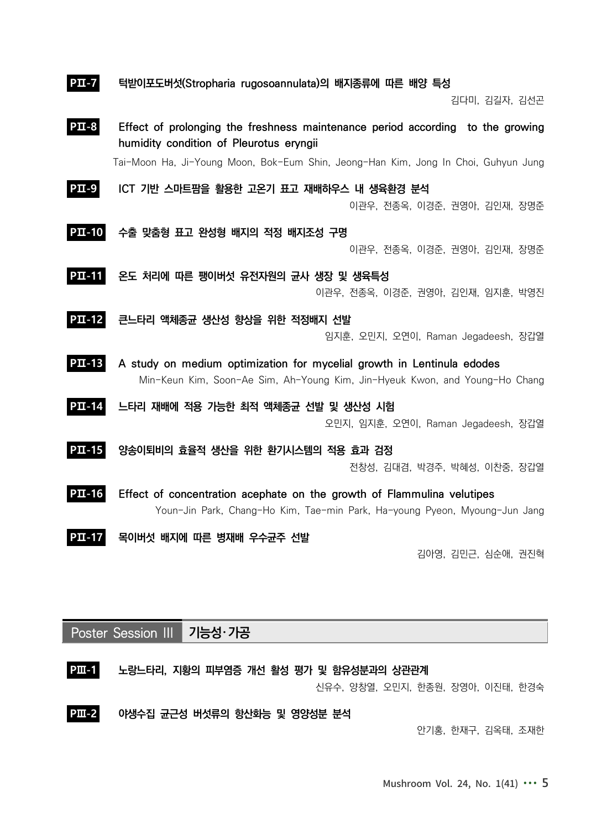| $PII - 7$     | 턱받이포도버섯(Stropharia rugosoannulata)의 배지종류에 따른 배양 특성                                                                                                    |
|---------------|-------------------------------------------------------------------------------------------------------------------------------------------------------|
|               | 김다미, 김길자, 김선곤                                                                                                                                         |
| $PII-8$       | Effect of prolonging the freshness maintenance period according to the growing<br>humidity condition of Pleurotus eryngii                             |
|               | Tai-Moon Ha, Ji-Young Moon, Bok-Eum Shin, Jeong-Han Kim, Jong In Choi, Guhyun Jung                                                                    |
| $PII-9$       | ICT 기반 스마트팜을 활용한 고온기 표고 재배하우스 내 생육환경 분석<br>이관우, 전종옥, 이경준, 권영아, 김인재, 장명준                                                                               |
| $PII-10$      | 수출 맞춤형 표고 완성형 배지의 적정 배지조성 구명                                                                                                                          |
|               | 이관우, 전종옥, 이경준, 권영아, 김인재, 장명준                                                                                                                          |
| $PII-11$      | 온도 처리에 따른 팽이버섯 유전자원의 균사 생장 및 생육특성<br>이관우, 전종옥, 이경준, 권영아, 김인재, 임지훈, 박영진                                                                                |
| <b>PII-12</b> | 큰느타리 액체종균 생산성 향상을 위한 적정배지 선발<br>임지훈, 오민지, 오연이, Raman Jegadeesh, 장갑열                                                                                   |
| $PL-13$       | A study on medium optimization for mycelial growth in Lentinula edodes<br>Min-Keun Kim, Soon-Ae Sim, Ah-Young Kim, Jin-Hyeuk Kwon, and Young-Ho Chang |
| $PL-14$       | 느타리 재배에 적용 가능한 최적 액체종균 선발 및 생산성 시험<br>오민지, 임지훈, 오연이, Raman Jegadeesh, 장갑열                                                                             |
| $PL-15$       | 양송이퇴비의 효율적 생산을 위한 환기시스템의 적용 효과 검정<br>전창성, 김대겸, 박경주, 박혜성, 이찬중, 장갑열                                                                                     |
| $PL - 16$     | Effect of concentration acephate on the growth of Flammulina velutipes<br>Youn-Jin Park, Chang-Ho Kim, Tae-min Park, Ha-young Pyeon, Myoung-Jun Jang  |
| PII-1         | 목이버섯 배지에 따른 병재배 우수균주 선발<br>김아영, 김민근, 심순애, 권진혁                                                                                                         |

Poster Session III 기능성・가공





안기홍, 한재구, 김옥태, 조재한